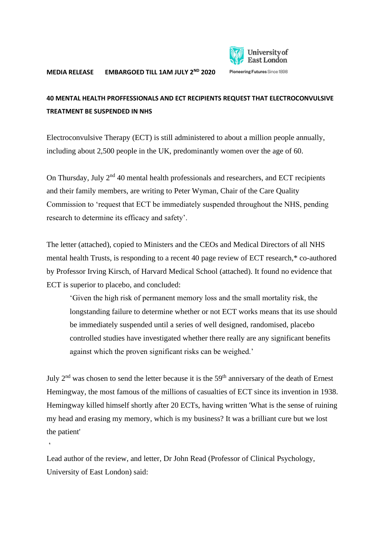

## **40 MENTAL HEALTH PROFFESSIONALS AND ECT RECIPIENTS REQUEST THAT ELECTROCONVULSIVE TREATMENT BE SUSPENDED IN NHS**

Electroconvulsive Therapy (ECT) is still administered to about a million people annually, including about 2,500 people in the UK, predominantly women over the age of 60.

On Thursday, July  $2<sup>nd</sup>$  40 mental health professionals and researchers, and ECT recipients and their family members, are writing to Peter Wyman, Chair of the Care Quality Commission to 'request that ECT be immediately suspended throughout the NHS, pending research to determine its efficacy and safety'.

The letter (attached), copied to Ministers and the CEOs and Medical Directors of all NHS mental health Trusts, is responding to a recent 40 page review of ECT research,\* co-authored by Professor Irving Kirsch, of Harvard Medical School (attached). It found no evidence that ECT is superior to placebo, and concluded:

'Given the high risk of permanent memory loss and the small mortality risk, the longstanding failure to determine whether or not ECT works means that its use should be immediately suspended until a series of well designed, randomised, placebo controlled studies have investigated whether there really are any significant benefits against which the proven significant risks can be weighed.'

July  $2<sup>nd</sup>$  was chosen to send the letter because it is the 59<sup>th</sup> anniversary of the death of Ernest Hemingway, the most famous of the millions of casualties of ECT since its invention in 1938. Hemingway killed himself shortly after 20 ECTs, having written 'What is the sense of ruining my head and erasing my memory, which is my business? It was a brilliant cure but we lost the patient'

Lead author of the review, and letter, Dr John Read (Professor of Clinical Psychology, University of East London) said:

 $\ddot{\phantom{0}}$